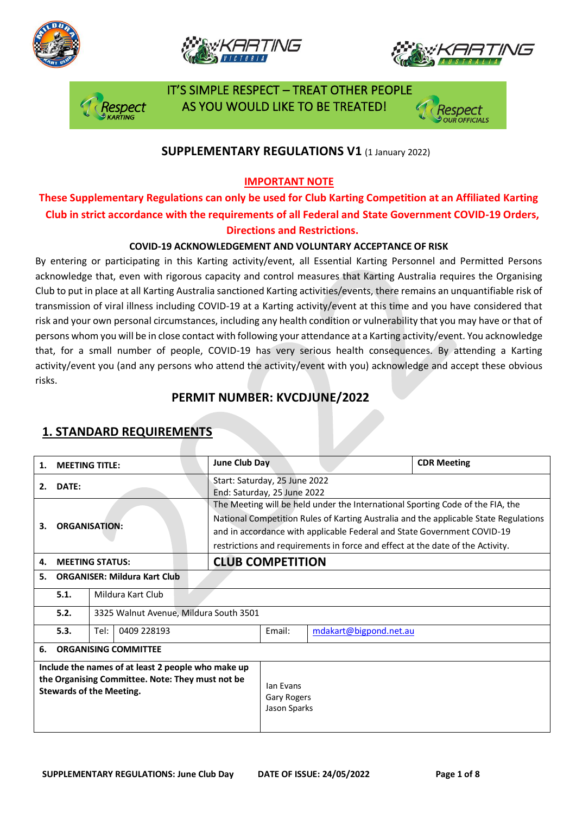







 IT'S SIMPLE RESPECT – TREAT OTHER PEOPLE AS YOU WOULD LIKE TO BE TREATED!

### **SUPPLEMENTARY REGULATIONS V1 (1 January 2022)**

#### **IMPORTANT NOTE**

## **These Supplementary Regulations can only be used for Club Karting Competition at an Affiliated Karting Club in strict accordance with the requirements of all Federal and State Government COVID-19 Orders, Directions and Restrictions.**

#### **COVID-19 ACKNOWLEDGEMENT AND VOLUNTARY ACCEPTANCE OF RISK**

By entering or participating in this Karting activity/event, all Essential Karting Personnel and Permitted Persons acknowledge that, even with rigorous capacity and control measures that Karting Australia requires the Organising Club to put in place at all Karting Australia sanctioned Karting activities/events, there remains an unquantifiable risk of transmission of viral illness including COVID-19 at a Karting activity/event at this time and you have considered that risk and your own personal circumstances, including any health condition or vulnerability that you may have or that of persons whom you will be in close contact with following your attendance at a Karting activity/event. You acknowledge that, for a small number of people, COVID-19 has very serious health consequences. By attending a Karting activity/event you (and any persons who attend the activity/event with you) acknowledge and accept these obvious risks.

### **PERMIT NUMBER: KVCDJUNE/2022**

| 1.                                                                                                                                        | <b>MEETING TITLE:</b>               | June Club Day                                                |                                                                                                                                                                                                                                                                                                                                     |  | <b>CDR Meeting</b> |  |
|-------------------------------------------------------------------------------------------------------------------------------------------|-------------------------------------|--------------------------------------------------------------|-------------------------------------------------------------------------------------------------------------------------------------------------------------------------------------------------------------------------------------------------------------------------------------------------------------------------------------|--|--------------------|--|
| 2.                                                                                                                                        | DATE:                               | Start: Saturday, 25 June 2022<br>End: Saturday, 25 June 2022 |                                                                                                                                                                                                                                                                                                                                     |  |                    |  |
| З.                                                                                                                                        | <b>ORGANISATION:</b>                |                                                              | The Meeting will be held under the International Sporting Code of the FIA, the<br>National Competition Rules of Karting Australia and the applicable State Regulations<br>and in accordance with applicable Federal and State Government COVID-19<br>restrictions and requirements in force and effect at the date of the Activity. |  |                    |  |
| 4.                                                                                                                                        | <b>MEETING STATUS:</b>              |                                                              | <b>CLUB COMPETITION</b>                                                                                                                                                                                                                                                                                                             |  |                    |  |
| 5.                                                                                                                                        | <b>ORGANISER: Mildura Kart Club</b> |                                                              |                                                                                                                                                                                                                                                                                                                                     |  |                    |  |
|                                                                                                                                           | 5.1.<br>Mildura Kart Club           |                                                              |                                                                                                                                                                                                                                                                                                                                     |  |                    |  |
|                                                                                                                                           | 5.2.                                | 3325 Walnut Avenue, Mildura South 3501                       |                                                                                                                                                                                                                                                                                                                                     |  |                    |  |
|                                                                                                                                           | 5.3.<br>Tel:<br>0409 228193         | Email:                                                       | mdakart@bigpond.net.au                                                                                                                                                                                                                                                                                                              |  |                    |  |
| 6.                                                                                                                                        | <b>ORGANISING COMMITTEE</b>         |                                                              |                                                                                                                                                                                                                                                                                                                                     |  |                    |  |
| Include the names of at least 2 people who make up<br>the Organising Committee. Note: They must not be<br><b>Stewards of the Meeting.</b> |                                     |                                                              | lan Evans<br><b>Gary Rogers</b><br>Jason Sparks                                                                                                                                                                                                                                                                                     |  |                    |  |

### **1. STANDARD REQUIREMENTS**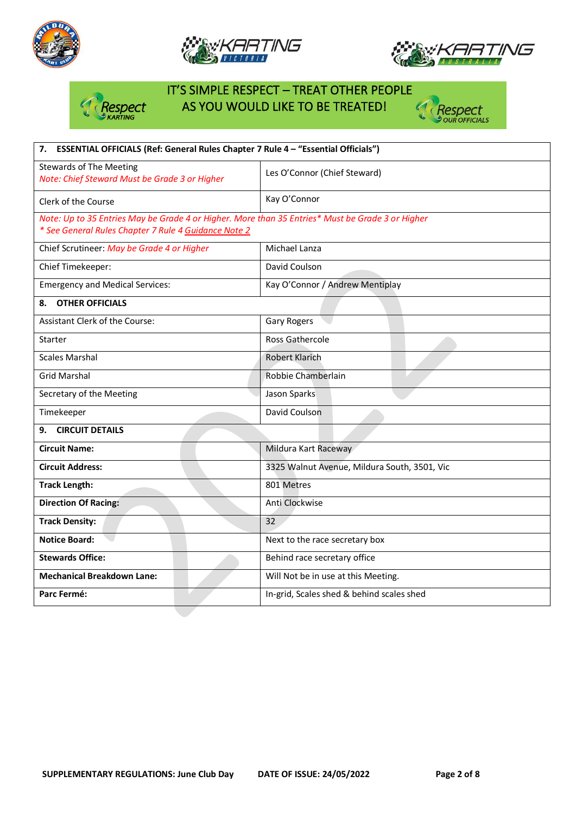







# IT'S SIMPLE RESPECT – TREAT OTHER PEOPLE Respect AS YOU WOULD LIKE TO BE TREATED!



| ESSENTIAL OFFICIALS (Ref: General Rules Chapter 7 Rule 4 - "Essential Officials")<br>7.                                                                  |                                              |  |  |  |
|----------------------------------------------------------------------------------------------------------------------------------------------------------|----------------------------------------------|--|--|--|
| <b>Stewards of The Meeting</b><br>Note: Chief Steward Must be Grade 3 or Higher                                                                          | Les O'Connor (Chief Steward)                 |  |  |  |
| Clerk of the Course                                                                                                                                      | Kay O'Connor                                 |  |  |  |
| Note: Up to 35 Entries May be Grade 4 or Higher. More than 35 Entries* Must be Grade 3 or Higher<br>* See General Rules Chapter 7 Rule 4 Guidance Note 2 |                                              |  |  |  |
| Chief Scrutineer: May be Grade 4 or Higher                                                                                                               | Michael Lanza                                |  |  |  |
| Chief Timekeeper:                                                                                                                                        | David Coulson                                |  |  |  |
| <b>Emergency and Medical Services:</b>                                                                                                                   | Kay O'Connor / Andrew Mentiplay              |  |  |  |
| <b>OTHER OFFICIALS</b><br>8.                                                                                                                             |                                              |  |  |  |
| Assistant Clerk of the Course:                                                                                                                           | Gary Rogers                                  |  |  |  |
| Starter                                                                                                                                                  | Ross Gathercole                              |  |  |  |
| <b>Scales Marshal</b>                                                                                                                                    | <b>Robert Klarich</b>                        |  |  |  |
| <b>Grid Marshal</b>                                                                                                                                      | Robbie Chamberlain                           |  |  |  |
| Secretary of the Meeting                                                                                                                                 | Jason Sparks                                 |  |  |  |
| Timekeeper                                                                                                                                               | David Coulson                                |  |  |  |
| <b>CIRCUIT DETAILS</b><br>9.                                                                                                                             |                                              |  |  |  |
| <b>Circuit Name:</b>                                                                                                                                     | Mildura Kart Raceway                         |  |  |  |
| <b>Circuit Address:</b>                                                                                                                                  | 3325 Walnut Avenue, Mildura South, 3501, Vic |  |  |  |
| <b>Track Length:</b>                                                                                                                                     | 801 Metres                                   |  |  |  |
| <b>Direction Of Racing:</b>                                                                                                                              | Anti Clockwise                               |  |  |  |
| <b>Track Density:</b>                                                                                                                                    | 32                                           |  |  |  |
| <b>Notice Board:</b>                                                                                                                                     | Next to the race secretary box               |  |  |  |
| <b>Stewards Office:</b>                                                                                                                                  | Behind race secretary office                 |  |  |  |
| <b>Mechanical Breakdown Lane:</b>                                                                                                                        | Will Not be in use at this Meeting.          |  |  |  |
| Parc Fermé:                                                                                                                                              | In-grid, Scales shed & behind scales shed    |  |  |  |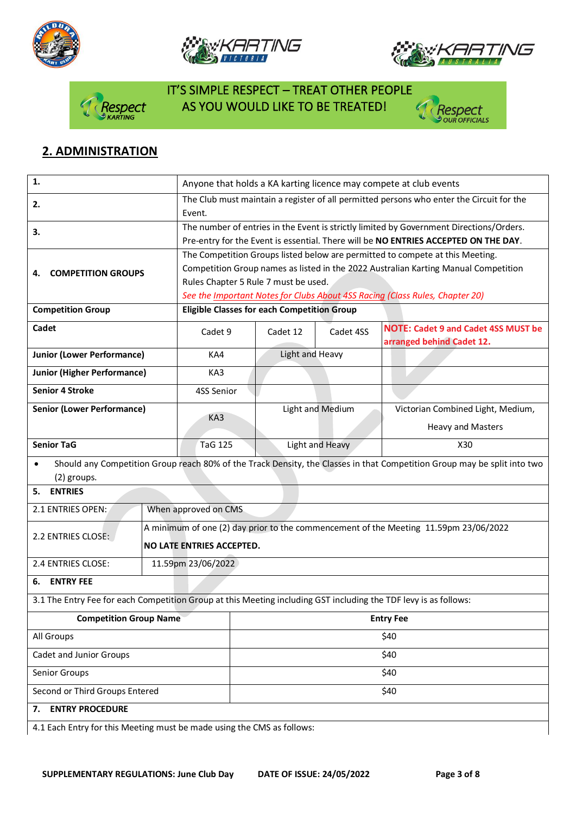







# IT'S SIMPLE RESPECT – TREAT OTHER PEOPLE spect AS YOU WOULD LIKE TO BE TREATED!



# **2. ADMINISTRATION**

| 1.                                                                                                               |                           | Anyone that holds a KA karting licence may compete at club events                                                        |                  |                                                                               |  |  |
|------------------------------------------------------------------------------------------------------------------|---------------------------|--------------------------------------------------------------------------------------------------------------------------|------------------|-------------------------------------------------------------------------------|--|--|
| 2.                                                                                                               | Event.                    | The Club must maintain a register of all permitted persons who enter the Circuit for the                                 |                  |                                                                               |  |  |
| 3.                                                                                                               |                           | The number of entries in the Event is strictly limited by Government Directions/Orders.                                  |                  |                                                                               |  |  |
|                                                                                                                  |                           | Pre-entry for the Event is essential. There will be NO ENTRIES ACCEPTED ON THE DAY.                                      |                  |                                                                               |  |  |
|                                                                                                                  |                           |                                                                                                                          |                  | The Competition Groups listed below are permitted to compete at this Meeting. |  |  |
| <b>COMPETITION GROUPS</b><br>4.                                                                                  |                           | Competition Group names as listed in the 2022 Australian Karting Manual Competition                                      |                  |                                                                               |  |  |
|                                                                                                                  |                           | Rules Chapter 5 Rule 7 must be used.                                                                                     |                  |                                                                               |  |  |
|                                                                                                                  |                           | See the Important Notes for Clubs About 4SS Racing (Class Rules, Chapter 20)                                             |                  |                                                                               |  |  |
| <b>Competition Group</b>                                                                                         |                           | <b>Eligible Classes for each Competition Group</b>                                                                       |                  |                                                                               |  |  |
| Cadet                                                                                                            | Cadet 9                   | Cadet 12                                                                                                                 | Cadet 4SS        | <b>NOTE: Cadet 9 and Cadet 4SS MUST be</b><br>arranged behind Cadet 12.       |  |  |
| <b>Junior (Lower Performance)</b>                                                                                | KA4                       | Light and Heavy                                                                                                          |                  |                                                                               |  |  |
| <b>Junior (Higher Performance)</b>                                                                               | KA3                       |                                                                                                                          |                  |                                                                               |  |  |
| <b>Senior 4 Stroke</b>                                                                                           | 4SS Senior                |                                                                                                                          |                  |                                                                               |  |  |
| <b>Senior (Lower Performance)</b>                                                                                |                           |                                                                                                                          | Light and Medium | Victorian Combined Light, Medium,                                             |  |  |
|                                                                                                                  | KA3                       |                                                                                                                          |                  | <b>Heavy and Masters</b>                                                      |  |  |
| <b>Senior TaG</b>                                                                                                | <b>TaG 125</b>            |                                                                                                                          | Light and Heavy  | X30                                                                           |  |  |
| $\bullet$                                                                                                        |                           | Should any Competition Group reach 80% of the Track Density, the Classes in that Competition Group may be split into two |                  |                                                                               |  |  |
| (2) groups.                                                                                                      |                           |                                                                                                                          |                  |                                                                               |  |  |
| <b>ENTRIES</b><br>5.                                                                                             |                           |                                                                                                                          |                  |                                                                               |  |  |
| 2.1 ENTRIES OPEN:                                                                                                | When approved on CMS      |                                                                                                                          |                  |                                                                               |  |  |
| 2.2 ENTRIES CLOSE:                                                                                               |                           | A minimum of one (2) day prior to the commencement of the Meeting 11.59pm 23/06/2022                                     |                  |                                                                               |  |  |
|                                                                                                                  | NO LATE ENTRIES ACCEPTED. |                                                                                                                          |                  |                                                                               |  |  |
| 2.4 ENTRIES CLOSE:                                                                                               | 11.59pm 23/06/2022        |                                                                                                                          |                  |                                                                               |  |  |
| <b>ENTRY FEE</b><br>6.                                                                                           |                           |                                                                                                                          |                  |                                                                               |  |  |
| 3.1 The Entry Fee for each Competition Group at this Meeting including GST including the TDF levy is as follows: |                           |                                                                                                                          |                  |                                                                               |  |  |
| <b>Competition Group Name</b>                                                                                    |                           | <b>Entry Fee</b>                                                                                                         |                  |                                                                               |  |  |
| All Groups                                                                                                       |                           | \$40                                                                                                                     |                  |                                                                               |  |  |
| Cadet and Junior Groups                                                                                          |                           | \$40                                                                                                                     |                  |                                                                               |  |  |
| Senior Groups                                                                                                    |                           | \$40                                                                                                                     |                  |                                                                               |  |  |
| Second or Third Groups Entered                                                                                   |                           | \$40                                                                                                                     |                  |                                                                               |  |  |
| <b>ENTRY PROCEDURE</b><br>7.                                                                                     |                           |                                                                                                                          |                  |                                                                               |  |  |
| 4.1 Each Entry for this Meeting must be made using the CMS as follows:                                           |                           |                                                                                                                          |                  |                                                                               |  |  |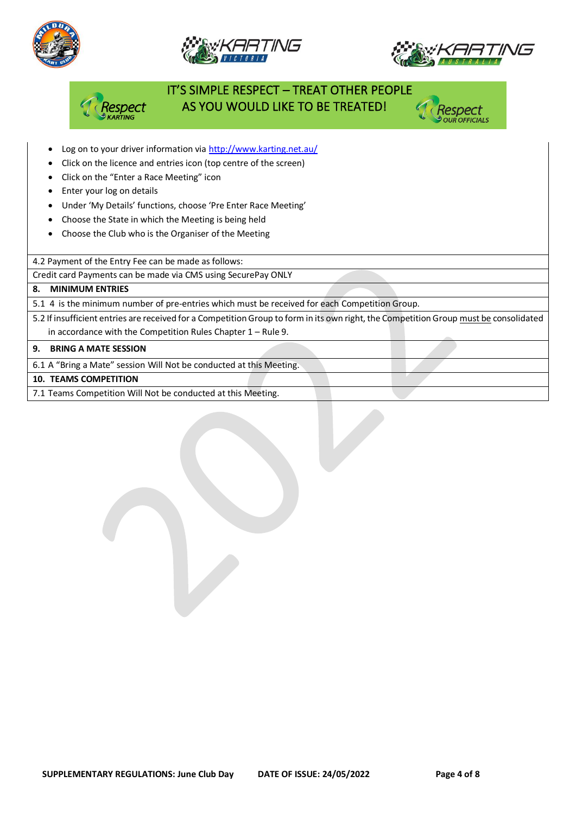





# IT'S SIMPLE RESPECT – TREAT OTHER PEOPLE AS YOU WOULD LIKE TO BE TREATED!



- Log on to your driver information vi[a http://www.karting.net.au/](http://www.karting.net.au/)
- Click on the licence and entries icon (top centre of the screen)
- Click on the "Enter a Race Meeting" icon
- Enter your log on details
- Under 'My Details' functions, choose 'Pre Enter Race Meeting'
- Choose the State in which the Meeting is being held
- Choose the Club who is the Organiser of the Meeting

4.2 Payment of the Entry Fee can be made as follows:

Credit card Payments can be made via CMS using SecurePay ONLY

#### **8. MINIMUM ENTRIES**

5.1 4 is the minimum number of pre-entries which must be received for each Competition Group.

5.2 If insufficient entries are received for a Competition Group to form in its own right, the Competition Group must be consolidated in accordance with the Competition Rules Chapter 1 – Rule 9.

#### **9. BRING A MATE SESSION**

6.1 A "Bring a Mate" session Will Not be conducted at this Meeting.

**10. TEAMS COMPETITION**

7.1 Teams Competition Will Not be conducted at this Meeting.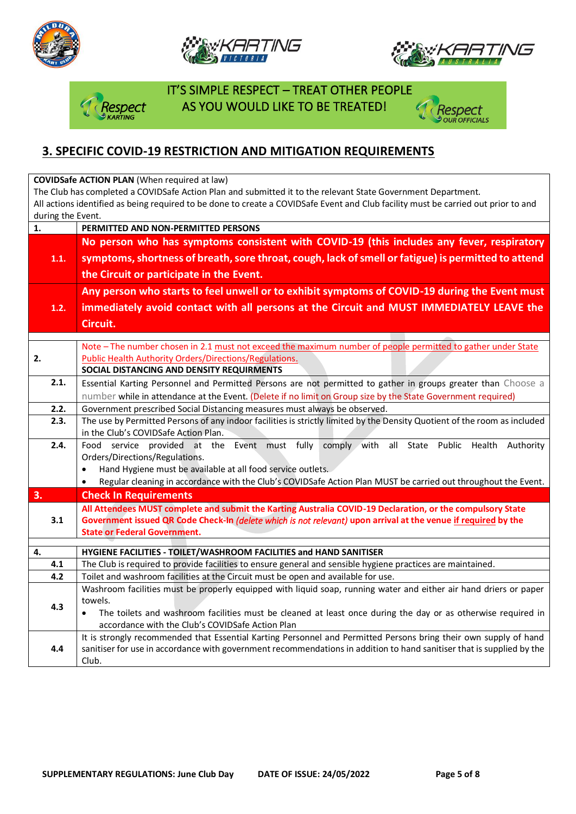







 IT'S SIMPLE RESPECT – TREAT OTHER PEOPLE **Dect AS YOU WOULD LIKE TO BE TREATED!** 



## **3. SPECIFIC COVID-19 RESTRICTION AND MITIGATION REQUIREMENTS**

**COVIDSafe ACTION PLAN** (When required at law)

The Club has completed a COVIDSafe Action Plan and submitted it to the relevant State Government Department. All actions identified as being required to be done to create a COVIDSafe Event and Club facility must be carried out prior to and during the Event.

| $\mathbf{1}$ . | PERMITTED AND NON-PERMITTED PERSONS                                                                                                                                                              |  |  |  |  |
|----------------|--------------------------------------------------------------------------------------------------------------------------------------------------------------------------------------------------|--|--|--|--|
|                | No person who has symptoms consistent with COVID-19 (this includes any fever, respiratory<br>symptoms, shortness of breath, sore throat, cough, lack of smell or fatigue) is permitted to attend |  |  |  |  |
| 1.1.           |                                                                                                                                                                                                  |  |  |  |  |
|                | the Circuit or participate in the Event.                                                                                                                                                         |  |  |  |  |
|                | Any person who starts to feel unwell or to exhibit symptoms of COVID-19 during the Event must                                                                                                    |  |  |  |  |
| 1.2.           |                                                                                                                                                                                                  |  |  |  |  |
|                | immediately avoid contact with all persons at the Circuit and MUST IMMEDIATELY LEAVE the                                                                                                         |  |  |  |  |
|                | Circuit.                                                                                                                                                                                         |  |  |  |  |
|                | Note - The number chosen in 2.1 must not exceed the maximum number of people permitted to gather under State                                                                                     |  |  |  |  |
| 2.             | <b>Public Health Authority Orders/Directions/Regulations.</b>                                                                                                                                    |  |  |  |  |
|                | SOCIAL DISTANCING AND DENSITY REQUIRMENTS                                                                                                                                                        |  |  |  |  |
| 2.1.           | Essential Karting Personnel and Permitted Persons are not permitted to gather in groups greater than Choose a                                                                                    |  |  |  |  |
|                | number while in attendance at the Event. (Delete if no limit on Group size by the State Government required)                                                                                     |  |  |  |  |
| 2.2.           | Government prescribed Social Distancing measures must always be observed.                                                                                                                        |  |  |  |  |
| 2.3.           | The use by Permitted Persons of any indoor facilities is strictly limited by the Density Quotient of the room as included                                                                        |  |  |  |  |
|                | in the Club's COVIDSafe Action Plan.                                                                                                                                                             |  |  |  |  |
| 2.4.           | Food service provided at the Event must fully<br>comply with<br>all<br>State<br>Public<br>Health<br>Authority                                                                                    |  |  |  |  |
|                | Orders/Directions/Regulations.                                                                                                                                                                   |  |  |  |  |
|                | Hand Hygiene must be available at all food service outlets.<br>$\bullet$                                                                                                                         |  |  |  |  |
| 3.             | Regular cleaning in accordance with the Club's COVIDSafe Action Plan MUST be carried out throughout the Event.<br>$\bullet$                                                                      |  |  |  |  |
|                | <b>Check In Requirements</b><br>All Attendees MUST complete and submit the Karting Australia COVID-19 Declaration, or the compulsory State                                                       |  |  |  |  |
| 3.1            | Government issued QR Code Check-In (delete which is not relevant) upon arrival at the venue if required by the                                                                                   |  |  |  |  |
|                | <b>State or Federal Government.</b>                                                                                                                                                              |  |  |  |  |
|                |                                                                                                                                                                                                  |  |  |  |  |
| 4.             | HYGIENE FACILITIES - TOILET/WASHROOM FACILITIES and HAND SANITISER                                                                                                                               |  |  |  |  |
| 4.1            | The Club is required to provide facilities to ensure general and sensible hygiene practices are maintained.                                                                                      |  |  |  |  |
| 4.2            | Toilet and washroom facilities at the Circuit must be open and available for use.                                                                                                                |  |  |  |  |
|                | Washroom facilities must be properly equipped with liquid soap, running water and either air hand driers or paper                                                                                |  |  |  |  |
| 4.3            | towels.                                                                                                                                                                                          |  |  |  |  |
|                | The toilets and washroom facilities must be cleaned at least once during the day or as otherwise required in<br>$\bullet$<br>accordance with the Club's COVIDSafe Action Plan                    |  |  |  |  |
|                | It is strongly recommended that Essential Karting Personnel and Permitted Persons bring their own supply of hand                                                                                 |  |  |  |  |
| 4.4            | sanitiser for use in accordance with government recommendations in addition to hand sanitiser that is supplied by the                                                                            |  |  |  |  |
|                | Club.                                                                                                                                                                                            |  |  |  |  |
|                |                                                                                                                                                                                                  |  |  |  |  |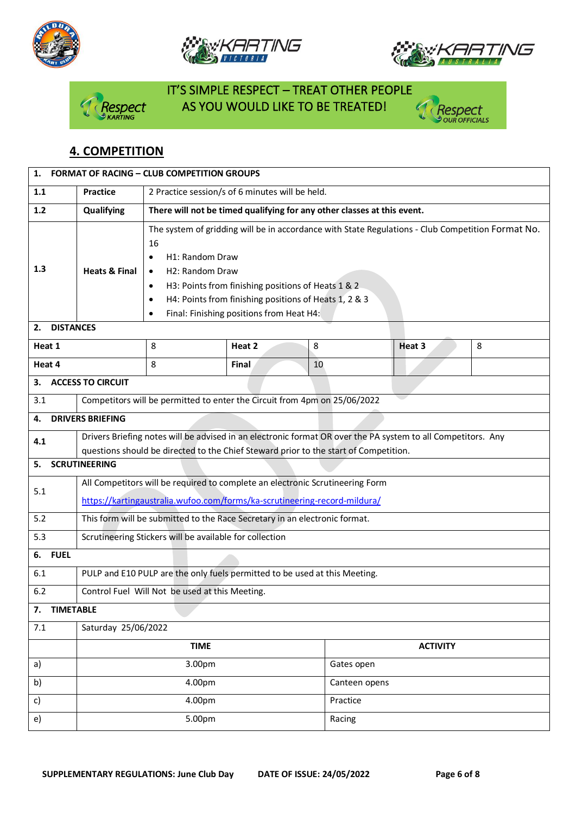







# IT'S SIMPLE RESPECT – TREAT OTHER PEOPLE espect AS YOU WOULD LIKE TO BE TREATED!



## **4. COMPETITION**

| <b>FORMAT OF RACING - CLUB COMPETITION GROUPS</b><br>1.                                                                                                                                              |                                                                                                                                                                                                                                                                                                                                                 |        |                 |                 |                                                                                     |  |
|------------------------------------------------------------------------------------------------------------------------------------------------------------------------------------------------------|-------------------------------------------------------------------------------------------------------------------------------------------------------------------------------------------------------------------------------------------------------------------------------------------------------------------------------------------------|--------|-----------------|-----------------|-------------------------------------------------------------------------------------|--|
| 2 Practice session/s of 6 minutes will be held.<br><b>Practice</b>                                                                                                                                   |                                                                                                                                                                                                                                                                                                                                                 |        |                 |                 |                                                                                     |  |
| Qualifying                                                                                                                                                                                           | There will not be timed qualifying for any other classes at this event.                                                                                                                                                                                                                                                                         |        |                 |                 |                                                                                     |  |
| <b>Heats &amp; Final</b>                                                                                                                                                                             | The system of gridding will be in accordance with State Regulations - Club Competition Format No.<br>16<br>H1: Random Draw<br>$\bullet$<br>H2: Random Draw<br>$\bullet$<br>H3: Points from finishing positions of Heats 1 & 2<br>$\bullet$<br>H4: Points from finishing positions of Heats 1, 2 & 3<br>Final: Finishing positions from Heat H4: |        |                 |                 |                                                                                     |  |
|                                                                                                                                                                                                      |                                                                                                                                                                                                                                                                                                                                                 |        |                 |                 |                                                                                     |  |
|                                                                                                                                                                                                      |                                                                                                                                                                                                                                                                                                                                                 |        |                 |                 | 8                                                                                   |  |
|                                                                                                                                                                                                      |                                                                                                                                                                                                                                                                                                                                                 |        |                 |                 |                                                                                     |  |
|                                                                                                                                                                                                      |                                                                                                                                                                                                                                                                                                                                                 |        |                 |                 |                                                                                     |  |
|                                                                                                                                                                                                      |                                                                                                                                                                                                                                                                                                                                                 |        |                 |                 |                                                                                     |  |
|                                                                                                                                                                                                      |                                                                                                                                                                                                                                                                                                                                                 |        |                 |                 |                                                                                     |  |
| Drivers Briefing notes will be advised in an electronic format OR over the PA system to all Competitors. Any<br>questions should be directed to the Chief Steward prior to the start of Competition. |                                                                                                                                                                                                                                                                                                                                                 |        |                 |                 |                                                                                     |  |
| <b>SCRUTINEERING</b><br>5.                                                                                                                                                                           |                                                                                                                                                                                                                                                                                                                                                 |        |                 |                 |                                                                                     |  |
| All Competitors will be required to complete an electronic Scrutineering Form<br>https://kartingaustralia.wufoo.com/forms/ka-scrutineering-record-mildura/                                           |                                                                                                                                                                                                                                                                                                                                                 |        |                 |                 |                                                                                     |  |
| This form will be submitted to the Race Secretary in an electronic format.                                                                                                                           |                                                                                                                                                                                                                                                                                                                                                 |        |                 |                 |                                                                                     |  |
| Scrutineering Stickers will be available for collection                                                                                                                                              |                                                                                                                                                                                                                                                                                                                                                 |        |                 |                 |                                                                                     |  |
|                                                                                                                                                                                                      |                                                                                                                                                                                                                                                                                                                                                 |        |                 |                 |                                                                                     |  |
| PULP and E10 PULP are the only fuels permitted to be used at this Meeting.                                                                                                                           |                                                                                                                                                                                                                                                                                                                                                 |        |                 |                 |                                                                                     |  |
| Control Fuel Will Not be used at this Meeting.                                                                                                                                                       |                                                                                                                                                                                                                                                                                                                                                 |        |                 |                 |                                                                                     |  |
| <b>TIMETABLE</b><br>7.                                                                                                                                                                               |                                                                                                                                                                                                                                                                                                                                                 |        |                 |                 |                                                                                     |  |
| Saturday 25/06/2022                                                                                                                                                                                  |                                                                                                                                                                                                                                                                                                                                                 |        |                 |                 |                                                                                     |  |
|                                                                                                                                                                                                      | <b>TIME</b>                                                                                                                                                                                                                                                                                                                                     |        |                 | <b>ACTIVITY</b> |                                                                                     |  |
| 3.00pm                                                                                                                                                                                               |                                                                                                                                                                                                                                                                                                                                                 |        |                 | Gates open      |                                                                                     |  |
| 4.00pm                                                                                                                                                                                               |                                                                                                                                                                                                                                                                                                                                                 |        |                 | Canteen opens   |                                                                                     |  |
| 4.00pm                                                                                                                                                                                               |                                                                                                                                                                                                                                                                                                                                                 |        |                 | Practice        |                                                                                     |  |
| 5.00pm<br>Racing                                                                                                                                                                                     |                                                                                                                                                                                                                                                                                                                                                 |        |                 |                 |                                                                                     |  |
|                                                                                                                                                                                                      | <b>DISTANCES</b><br><b>ACCESS TO CIRCUIT</b><br><b>DRIVERS BRIEFING</b>                                                                                                                                                                                                                                                                         | 8<br>8 | Heat 2<br>Final | 8<br>10         | Heat 3<br>Competitors will be permitted to enter the Circuit from 4pm on 25/06/2022 |  |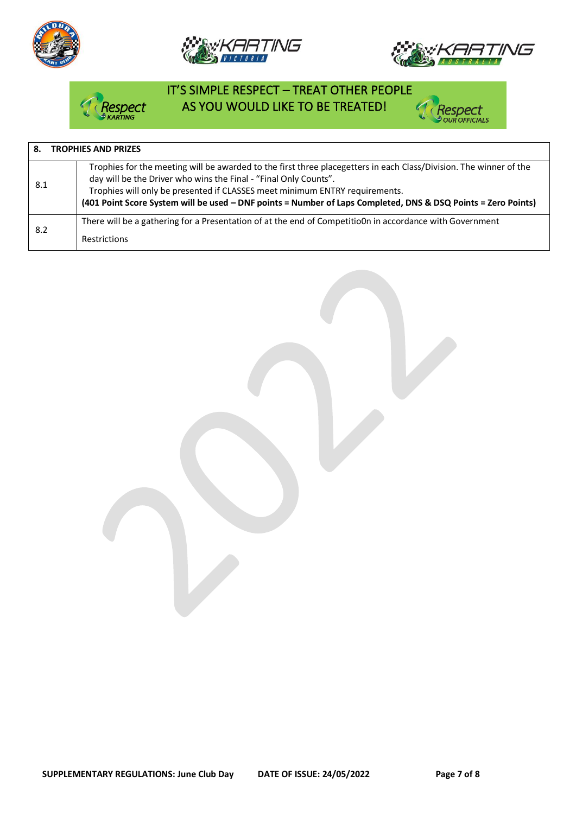







## IT'S SIMPLE RESPECT – TREAT OTHER PEOPLE AS YOU WOULD LIKE TO BE TREATED!